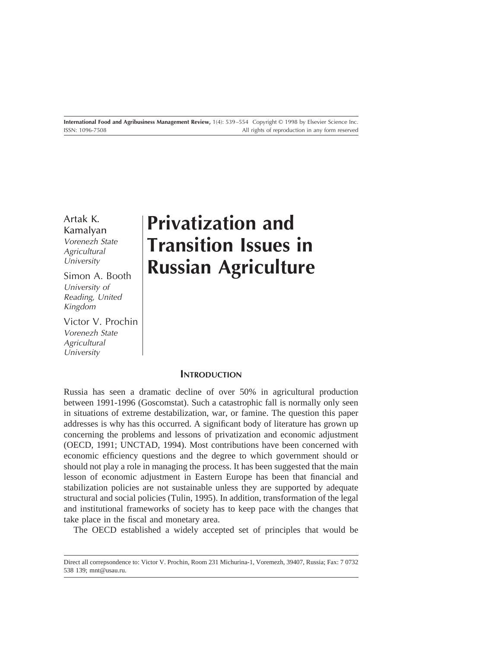Artak K. Kamalyan Vorenezh State **Agricultural** University

Simon A. Booth University of Reading, United Kingdom

Victor V. Prochin Vorenezh State **Agricultural University** 

# **Privatization and Transition Issues in Russian Agriculture**

### **INTRODUCTION**

Russia has seen a dramatic decline of over 50% in agricultural production between 1991-1996 (Goscomstat). Such a catastrophic fall is normally only seen in situations of extreme destabilization, war, or famine. The question this paper addresses is why has this occurred. A significant body of literature has grown up concerning the problems and lessons of privatization and economic adjustment (OECD, 1991; UNCTAD, 1994). Most contributions have been concerned with economic efficiency questions and the degree to which government should or should not play a role in managing the process. It has been suggested that the main lesson of economic adjustment in Eastern Europe has been that financial and stabilization policies are not sustainable unless they are supported by adequate structural and social policies (Tulin, 1995). In addition, transformation of the legal and institutional frameworks of society has to keep pace with the changes that take place in the fiscal and monetary area.

The OECD established a widely accepted set of principles that would be

Direct all correpsondence to: Victor V. Prochin, Room 231 Michurina-1, Voremezh, 39407, Russia; Fax: 7 0732 538 139; mnt@usau.ru.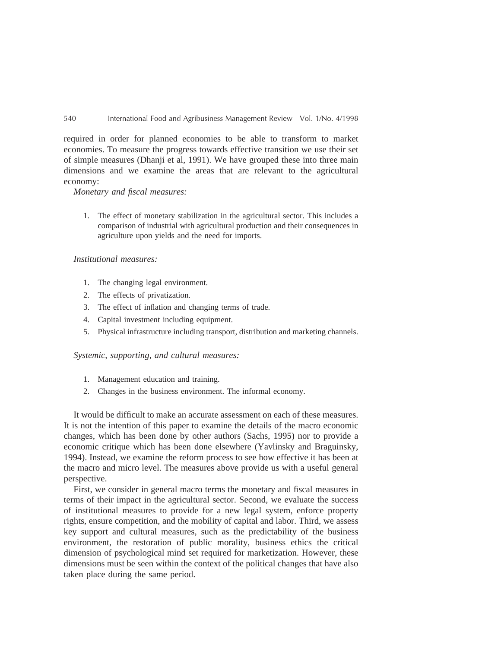#### 540 International Food and Agribusiness Management Review Vol. 1/No. 4/1998

required in order for planned economies to be able to transform to market economies. To measure the progress towards effective transition we use their set of simple measures (Dhanji et al, 1991). We have grouped these into three main dimensions and we examine the areas that are relevant to the agricultural economy:

*Monetary and fiscal measures:*

1. The effect of monetary stabilization in the agricultural sector. This includes a comparison of industrial with agricultural production and their consequences in agriculture upon yields and the need for imports.

#### *Institutional measures:*

- 1. The changing legal environment.
- 2. The effects of privatization.
- 3. The effect of inflation and changing terms of trade.
- 4. Capital investment including equipment.
- 5. Physical infrastructure including transport, distribution and marketing channels.

*Systemic, supporting, and cultural measures:*

- 1. Management education and training.
- 2. Changes in the business environment. The informal economy.

It would be difficult to make an accurate assessment on each of these measures. It is not the intention of this paper to examine the details of the macro economic changes, which has been done by other authors (Sachs, 1995) nor to provide a economic critique which has been done elsewhere (Yavlinsky and Braguinsky, 1994). Instead, we examine the reform process to see how effective it has been at the macro and micro level. The measures above provide us with a useful general perspective.

First, we consider in general macro terms the monetary and fiscal measures in terms of their impact in the agricultural sector. Second, we evaluate the success of institutional measures to provide for a new legal system, enforce property rights, ensure competition, and the mobility of capital and labor. Third, we assess key support and cultural measures, such as the predictability of the business environment, the restoration of public morality, business ethics the critical dimension of psychological mind set required for marketization. However, these dimensions must be seen within the context of the political changes that have also taken place during the same period.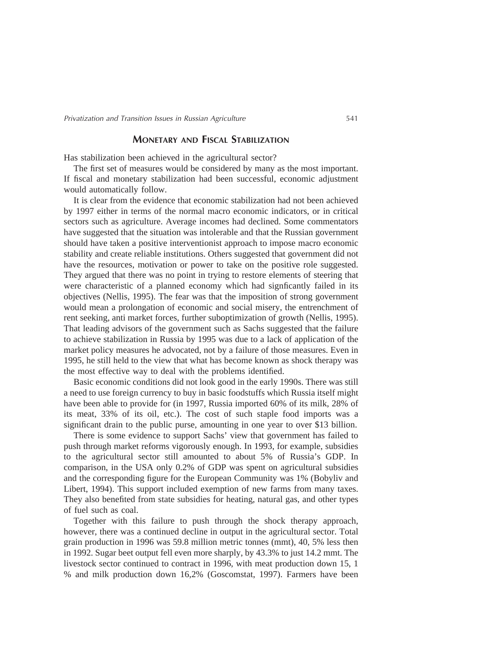## **MONETARY AND FISCAL STABILIZATION**

Has stabilization been achieved in the agricultural sector?

The first set of measures would be considered by many as the most important. If fiscal and monetary stabilization had been successful, economic adjustment would automatically follow.

It is clear from the evidence that economic stabilization had not been achieved by 1997 either in terms of the normal macro economic indicators, or in critical sectors such as agriculture. Average incomes had declined. Some commentators have suggested that the situation was intolerable and that the Russian government should have taken a positive interventionist approach to impose macro economic stability and create reliable institutions. Others suggested that government did not have the resources, motivation or power to take on the positive role suggested. They argued that there was no point in trying to restore elements of steering that were characteristic of a planned economy which had signficantly failed in its objectives (Nellis, 1995). The fear was that the imposition of strong government would mean a prolongation of economic and social misery, the entrenchment of rent seeking, anti market forces, further suboptimization of growth (Nellis, 1995). That leading advisors of the government such as Sachs suggested that the failure to achieve stabilization in Russia by 1995 was due to a lack of application of the market policy measures he advocated, not by a failure of those measures. Even in 1995, he still held to the view that what has become known as shock therapy was the most effective way to deal with the problems identified.

Basic economic conditions did not look good in the early 1990s. There was still a need to use foreign currency to buy in basic foodstuffs which Russia itself might have been able to provide for (in 1997, Russia imported 60% of its milk, 28% of its meat, 33% of its oil, etc.). The cost of such staple food imports was a significant drain to the public purse, amounting in one year to over \$13 billion.

There is some evidence to support Sachs' view that government has failed to push through market reforms vigorously enough. In 1993, for example, subsidies to the agricultural sector still amounted to about 5% of Russia's GDP. In comparison, in the USA only 0.2% of GDP was spent on agricultural subsidies and the corresponding figure for the European Community was 1% (Bobyliv and Libert, 1994). This support included exemption of new farms from many taxes. They also benefited from state subsidies for heating, natural gas, and other types of fuel such as coal.

Together with this failure to push through the shock therapy approach, however, there was a continued decline in output in the agricultural sector. Total grain production in 1996 was 59.8 million metric tonnes (mmt), 40, 5% less then in 1992. Sugar beet output fell even more sharply, by 43.3% to just 14.2 mmt. The livestock sector continued to contract in 1996, with meat production down 15, 1 % and milk production down 16,2% (Goscomstat, 1997). Farmers have been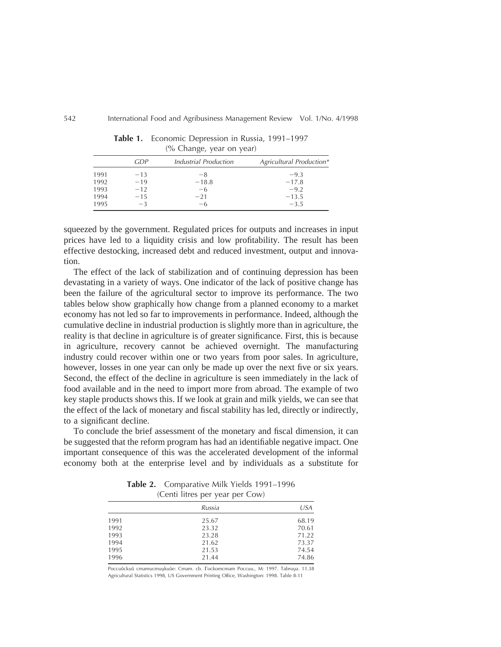|      | $(70$ Change, year on year |                       |                          |  |  |
|------|----------------------------|-----------------------|--------------------------|--|--|
|      | <b>GDP</b>                 | Industrial Production | Agricultural Production* |  |  |
| 1991 | $-13$                      | -8                    | $-9.3$                   |  |  |
| 1992 | $-19$                      | $-18.8$               | $-17.8$                  |  |  |
| 1993 | $-12$                      | $-6$                  | $-9.2$                   |  |  |
| 1994 | $-15$                      | $-21$                 | $-13.5$                  |  |  |
| 1995 | $-3$                       | -6                    | $-3.5$                   |  |  |

**Table 1.** Economic Depression in Russia, 1991–1997  $(0)$  Change year on year)

squeezed by the government. Regulated prices for outputs and increases in input prices have led to a liquidity crisis and low profitability. The result has been effective destocking, increased debt and reduced investment, output and innovation.

The effect of the lack of stabilization and of continuing depression has been devastating in a variety of ways. One indicator of the lack of positive change has been the failure of the agricultural sector to improve its performance. The two tables below show graphically how change from a planned economy to a market economy has not led so far to improvements in performance. Indeed, although the cumulative decline in industrial production is slightly more than in agriculture, the reality is that decline in agriculture is of greater significance. First, this is because in agriculture, recovery cannot be achieved overnight. The manufacturing industry could recover within one or two years from poor sales. In agriculture, however, losses in one year can only be made up over the next five or six years. Second, the effect of the decline in agriculture is seen immediately in the lack of food available and in the need to import more from abroad. The example of two key staple products shows this. If we look at grain and milk yields, we can see that the effect of the lack of monetary and fiscal stability has led, directly or indirectly, to a significant decline.

To conclude the brief assessment of the monetary and fiscal dimension, it can be suggested that the reform program has had an identifiable negative impact. One important consequence of this was the accelerated development of the informal economy both at the enterprise level and by individuals as a substitute for

| , extra that extract product pressure that is a set of the set of the set of the set of the set of the set of |        |       |  |  |
|---------------------------------------------------------------------------------------------------------------|--------|-------|--|--|
|                                                                                                               | Russia | USA   |  |  |
| 1991                                                                                                          | 25.67  | 68.19 |  |  |
| 1992                                                                                                          | 23.32  | 70.61 |  |  |
| 1993                                                                                                          | 23.28  | 71.22 |  |  |
| 1994                                                                                                          | 21.62  | 73.37 |  |  |
| 1995                                                                                                          | 21.53  | 74.54 |  |  |
| 1996                                                                                                          | 21.44  | 74.86 |  |  |

**Table 2.** Comparative Milk Yields 1991–1996 (Centi litres per year per Cow)

Poccuŭckuŭ cmamucmuukuŭe: Cmam. cb. Fockomcmam Poccuu., M: 1997. Tabruua. 11.38 Agricultural Statistics 1998, US Government Printing Office, Washington: 1998. Table 8-11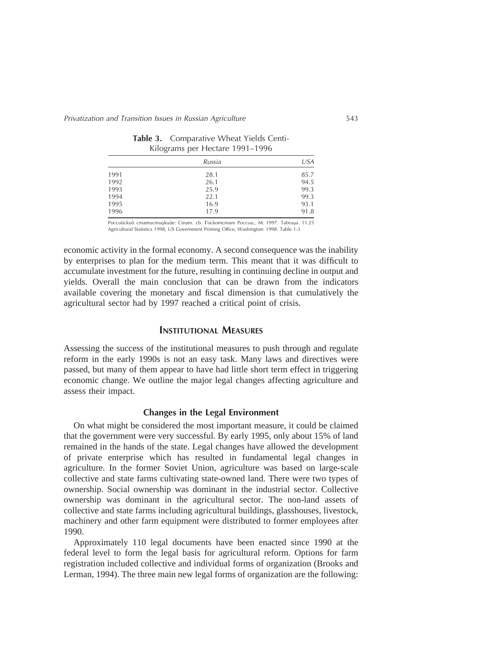| Kilograms per Hectare 1991–1996 |        |      |  |  |
|---------------------------------|--------|------|--|--|
|                                 | Russia | USA  |  |  |
| 1991                            | 28.1   | 85.7 |  |  |
| 1992                            | 26.1   | 94.5 |  |  |
| 1993                            | 25.9   | 99.3 |  |  |
| 1994                            | 22.1   | 99.3 |  |  |
| 1995                            | 16.9   | 93.1 |  |  |
| 1996                            | 17.9   | 91.8 |  |  |

**Table 3.** Comparative Wheat Yields Centi- $H = 1991, 1996$ 

Poccuŭckuŭ cmamucmuukuŭe: Cmam. cb. Fockomcmam Poccuu., M: 1997. Tabruua. 11.25 Agricultural Statistics 1998, US Government Printing Office, Washington: 1998. Table 1-3

economic activity in the formal economy. A second consequence was the inability by enterprises to plan for the medium term. This meant that it was difficult to accumulate investment for the future, resulting in continuing decline in output and yields. Overall the main conclusion that can be drawn from the indicators available covering the monetary and fiscal dimension is that cumulatively the agricultural sector had by 1997 reached a critical point of crisis.

## **INSTITUTIONAL MEASURES**

Assessing the success of the institutional measures to push through and regulate reform in the early 1990s is not an easy task. Many laws and directives were passed, but many of them appear to have had little short term effect in triggering economic change. We outline the major legal changes affecting agriculture and assess their impact.

## **Changes in the Legal Environment**

On what might be considered the most important measure, it could be claimed that the government were very successful. By early 1995, only about 15% of land remained in the hands of the state. Legal changes have allowed the development of private enterprise which has resulted in fundamental legal changes in agriculture. In the former Soviet Union, agriculture was based on large-scale collective and state farms cultivating state-owned land. There were two types of ownership. Social ownership was dominant in the industrial sector. Collective ownership was dominant in the agricultural sector. The non-land assets of collective and state farms including agricultural buildings, glasshouses, livestock, machinery and other farm equipment were distributed to former employees after 1990.

Approximately 110 legal documents have been enacted since 1990 at the federal level to form the legal basis for agricultural reform. Options for farm registration included collective and individual forms of organization (Brooks and Lerman, 1994). The three main new legal forms of organization are the following: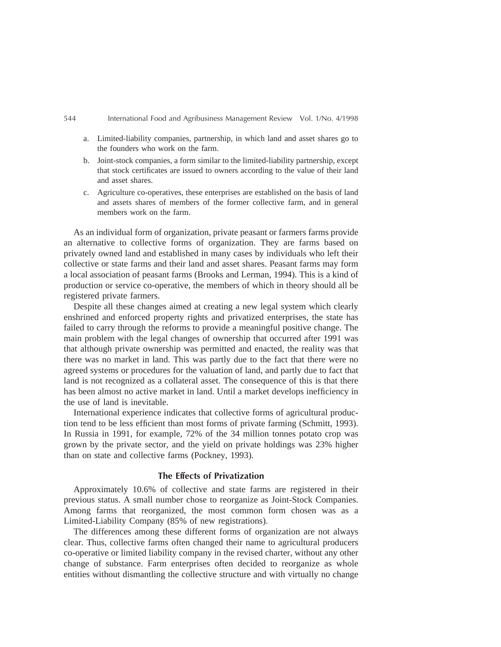#### 544 International Food and Agribusiness Management Review Vol. 1/No. 4/1998

- a. Limited-liability companies, partnership, in which land and asset shares go to the founders who work on the farm.
- b. Joint-stock companies, a form similar to the limited-liability partnership, except that stock certificates are issued to owners according to the value of their land and asset shares.
- c. Agriculture co-operatives, these enterprises are established on the basis of land and assets shares of members of the former collective farm, and in general members work on the farm.

As an individual form of organization, private peasant or farmers farms provide an alternative to collective forms of organization. They are farms based on privately owned land and established in many cases by individuals who left their collective or state farms and their land and asset shares. Peasant farms may form a local association of peasant farms (Brooks and Lerman, 1994). This is a kind of production or service co-operative, the members of which in theory should all be registered private farmers.

Despite all these changes aimed at creating a new legal system which clearly enshrined and enforced property rights and privatized enterprises, the state has failed to carry through the reforms to provide a meaningful positive change. The main problem with the legal changes of ownership that occurred after 1991 was that although private ownership was permitted and enacted, the reality was that there was no market in land. This was partly due to the fact that there were no agreed systems or procedures for the valuation of land, and partly due to fact that land is not recognized as a collateral asset. The consequence of this is that there has been almost no active market in land. Until a market develops inefficiency in the use of land is inevitable.

International experience indicates that collective forms of agricultural production tend to be less efficient than most forms of private farming (Schmitt, 1993). In Russia in 1991, for example, 72% of the 34 million tonnes potato crop was grown by the private sector, and the yield on private holdings was 23% higher than on state and collective farms (Pockney, 1993).

## **The Effects of Privatization**

Approximately 10.6% of collective and state farms are registered in their previous status. A small number chose to reorganize as Joint-Stock Companies. Among farms that reorganized, the most common form chosen was as a Limited-Liability Company (85% of new registrations).

The differences among these different forms of organization are not always clear. Thus, collective farms often changed their name to agricultural producers co-operative or limited liability company in the revised charter, without any other change of substance. Farm enterprises often decided to reorganize as whole entities without dismantling the collective structure and with virtually no change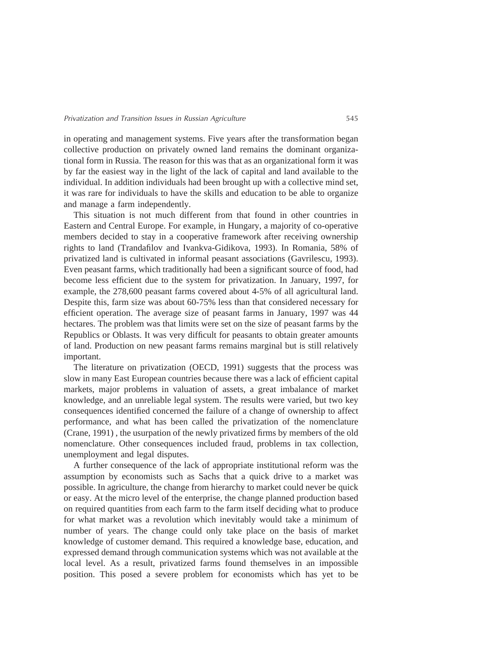in operating and management systems. Five years after the transformation began collective production on privately owned land remains the dominant organizational form in Russia. The reason for this was that as an organizational form it was by far the easiest way in the light of the lack of capital and land available to the individual. In addition individuals had been brought up with a collective mind set, it was rare for individuals to have the skills and education to be able to organize and manage a farm independently.

This situation is not much different from that found in other countries in Eastern and Central Europe. For example, in Hungary, a majority of co-operative members decided to stay in a cooperative framework after receiving ownership rights to land (Trandafilov and Ivankva-Gidikova, 1993). In Romania, 58% of privatized land is cultivated in informal peasant associations (Gavrilescu, 1993). Even peasant farms, which traditionally had been a significant source of food, had become less efficient due to the system for privatization. In January, 1997, for example, the 278,600 peasant farms covered about 4-5% of all agricultural land. Despite this, farm size was about 60-75% less than that considered necessary for efficient operation. The average size of peasant farms in January, 1997 was 44 hectares. The problem was that limits were set on the size of peasant farms by the Republics or Oblasts. It was very difficult for peasants to obtain greater amounts of land. Production on new peasant farms remains marginal but is still relatively important.

The literature on privatization (OECD, 1991) suggests that the process was slow in many East European countries because there was a lack of efficient capital markets, major problems in valuation of assets, a great imbalance of market knowledge, and an unreliable legal system. The results were varied, but two key consequences identified concerned the failure of a change of ownership to affect performance, and what has been called the privatization of the nomenclature (Crane, 1991) , the usurpation of the newly privatized firms by members of the old nomenclature. Other consequences included fraud, problems in tax collection, unemployment and legal disputes.

A further consequence of the lack of appropriate institutional reform was the assumption by economists such as Sachs that a quick drive to a market was possible. In agriculture, the change from hierarchy to market could never be quick or easy. At the micro level of the enterprise, the change planned production based on required quantities from each farm to the farm itself deciding what to produce for what market was a revolution which inevitably would take a minimum of number of years. The change could only take place on the basis of market knowledge of customer demand. This required a knowledge base, education, and expressed demand through communication systems which was not available at the local level. As a result, privatized farms found themselves in an impossible position. This posed a severe problem for economists which has yet to be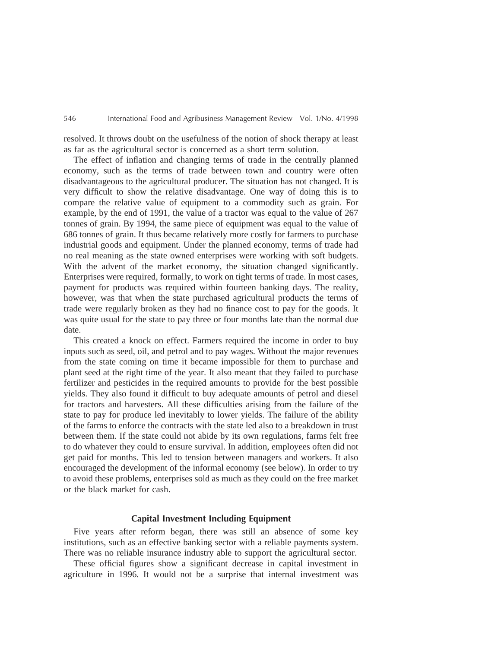resolved. It throws doubt on the usefulness of the notion of shock therapy at least as far as the agricultural sector is concerned as a short term solution.

The effect of inflation and changing terms of trade in the centrally planned economy, such as the terms of trade between town and country were often disadvantageous to the agricultural producer. The situation has not changed. It is very difficult to show the relative disadvantage. One way of doing this is to compare the relative value of equipment to a commodity such as grain. For example, by the end of 1991, the value of a tractor was equal to the value of 267 tonnes of grain. By 1994, the same piece of equipment was equal to the value of 686 tonnes of grain. It thus became relatively more costly for farmers to purchase industrial goods and equipment. Under the planned economy, terms of trade had no real meaning as the state owned enterprises were working with soft budgets. With the advent of the market economy, the situation changed significantly. Enterprises were required, formally, to work on tight terms of trade. In most cases, payment for products was required within fourteen banking days. The reality, however, was that when the state purchased agricultural products the terms of trade were regularly broken as they had no finance cost to pay for the goods. It was quite usual for the state to pay three or four months late than the normal due date.

This created a knock on effect. Farmers required the income in order to buy inputs such as seed, oil, and petrol and to pay wages. Without the major revenues from the state coming on time it became impossible for them to purchase and plant seed at the right time of the year. It also meant that they failed to purchase fertilizer and pesticides in the required amounts to provide for the best possible yields. They also found it difficult to buy adequate amounts of petrol and diesel for tractors and harvesters. All these difficulties arising from the failure of the state to pay for produce led inevitably to lower yields. The failure of the ability of the farms to enforce the contracts with the state led also to a breakdown in trust between them. If the state could not abide by its own regulations, farms felt free to do whatever they could to ensure survival. In addition, employees often did not get paid for months. This led to tension between managers and workers. It also encouraged the development of the informal economy (see below). In order to try to avoid these problems, enterprises sold as much as they could on the free market or the black market for cash.

#### **Capital Investment Including Equipment**

Five years after reform began, there was still an absence of some key institutions, such as an effective banking sector with a reliable payments system. There was no reliable insurance industry able to support the agricultural sector.

These official figures show a significant decrease in capital investment in agriculture in 1996. It would not be a surprise that internal investment was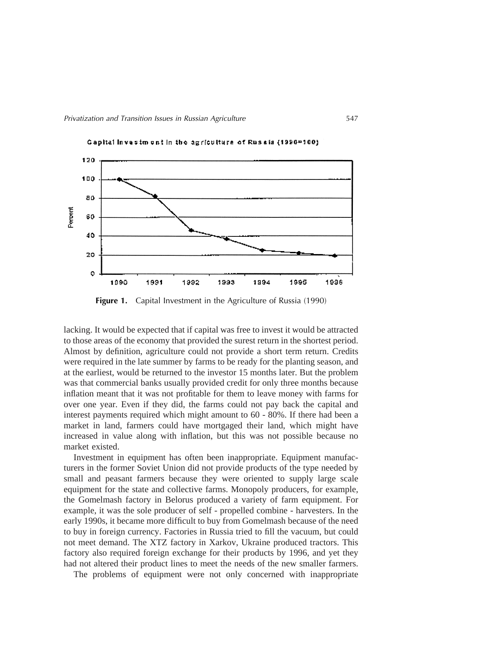

Capital investment in the agriculture of Russia (1990=100)

**Figure 1.** Capital Investment in the Agriculture of Russia (1990)

lacking. It would be expected that if capital was free to invest it would be attracted to those areas of the economy that provided the surest return in the shortest period. Almost by definition, agriculture could not provide a short term return. Credits were required in the late summer by farms to be ready for the planting season, and at the earliest, would be returned to the investor 15 months later. But the problem was that commercial banks usually provided credit for only three months because inflation meant that it was not profitable for them to leave money with farms for over one year. Even if they did, the farms could not pay back the capital and interest payments required which might amount to 60 - 80%. If there had been a market in land, farmers could have mortgaged their land, which might have increased in value along with inflation, but this was not possible because no market existed.

Investment in equipment has often been inappropriate. Equipment manufacturers in the former Soviet Union did not provide products of the type needed by small and peasant farmers because they were oriented to supply large scale equipment for the state and collective farms. Monopoly producers, for example, the Gomelmash factory in Belorus produced a variety of farm equipment. For example, it was the sole producer of self - propelled combine - harvesters. In the early 1990s, it became more difficult to buy from Gomelmash because of the need to buy in foreign currency. Factories in Russia tried to fill the vacuum, but could not meet demand. The XTZ factory in Xarkov, Ukraine produced tractors. This factory also required foreign exchange for their products by 1996, and yet they had not altered their product lines to meet the needs of the new smaller farmers.

The problems of equipment were not only concerned with inappropriate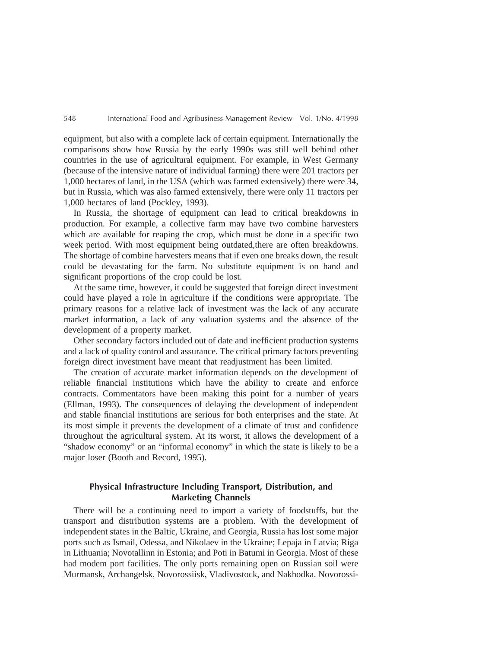equipment, but also with a complete lack of certain equipment. Internationally the comparisons show how Russia by the early 1990s was still well behind other countries in the use of agricultural equipment. For example, in West Germany (because of the intensive nature of individual farming) there were 201 tractors per 1,000 hectares of land, in the USA (which was farmed extensively) there were 34, but in Russia, which was also farmed extensively, there were only 11 tractors per 1,000 hectares of land (Pockley, 1993).

In Russia, the shortage of equipment can lead to critical breakdowns in production. For example, a collective farm may have two combine harvesters which are available for reaping the crop, which must be done in a specific two week period. With most equipment being outdated,there are often breakdowns. The shortage of combine harvesters means that if even one breaks down, the result could be devastating for the farm. No substitute equipment is on hand and significant proportions of the crop could be lost.

At the same time, however, it could be suggested that foreign direct investment could have played a role in agriculture if the conditions were appropriate. The primary reasons for a relative lack of investment was the lack of any accurate market information, a lack of any valuation systems and the absence of the development of a property market.

Other secondary factors included out of date and inefficient production systems and a lack of quality control and assurance. The critical primary factors preventing foreign direct investment have meant that readjustment has been limited.

The creation of accurate market information depends on the development of reliable financial institutions which have the ability to create and enforce contracts. Commentators have been making this point for a number of years (Ellman, 1993). The consequences of delaying the development of independent and stable financial institutions are serious for both enterprises and the state. At its most simple it prevents the development of a climate of trust and confidence throughout the agricultural system. At its worst, it allows the development of a "shadow economy" or an "informal economy" in which the state is likely to be a major loser (Booth and Record, 1995).

## **Physical Infrastructure Including Transport, Distribution, and Marketing Channels**

There will be a continuing need to import a variety of foodstuffs, but the transport and distribution systems are a problem. With the development of independent states in the Baltic, Ukraine, and Georgia, Russia has lost some major ports such as Ismail, Odessa, and Nikolaev in the Ukraine; Lepaja in Latvia; Riga in Lithuania; Novotallinn in Estonia; and Poti in Batumi in Georgia. Most of these had modem port facilities. The only ports remaining open on Russian soil were Murmansk, Archangelsk, Novorossiisk, Vladivostock, and Nakhodka. Novorossi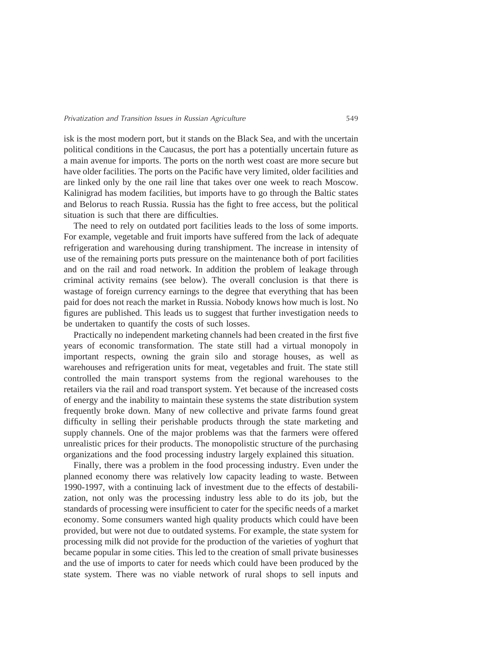isk is the most modern port, but it stands on the Black Sea, and with the uncertain political conditions in the Caucasus, the port has a potentially uncertain future as a main avenue for imports. The ports on the north west coast are more secure but have older facilities. The ports on the Pacific have very limited, older facilities and are linked only by the one rail line that takes over one week to reach Moscow. Kalinigrad has modem facilities, but imports have to go through the Baltic states and Belorus to reach Russia. Russia has the fight to free access, but the political situation is such that there are difficulties.

The need to rely on outdated port facilities leads to the loss of some imports. For example, vegetable and fruit imports have suffered from the lack of adequate refrigeration and warehousing during transhipment. The increase in intensity of use of the remaining ports puts pressure on the maintenance both of port facilities and on the rail and road network. In addition the problem of leakage through criminal activity remains (see below). The overall conclusion is that there is wastage of foreign currency earnings to the degree that everything that has been paid for does not reach the market in Russia. Nobody knows how much is lost. No figures are published. This leads us to suggest that further investigation needs to be undertaken to quantify the costs of such losses.

Practically no independent marketing channels had been created in the first five years of economic transformation. The state still had a virtual monopoly in important respects, owning the grain silo and storage houses, as well as warehouses and refrigeration units for meat, vegetables and fruit. The state still controlled the main transport systems from the regional warehouses to the retailers via the rail and road transport system. Yet because of the increased costs of energy and the inability to maintain these systems the state distribution system frequently broke down. Many of new collective and private farms found great difficulty in selling their perishable products through the state marketing and supply channels. One of the major problems was that the farmers were offered unrealistic prices for their products. The monopolistic structure of the purchasing organizations and the food processing industry largely explained this situation.

Finally, there was a problem in the food processing industry. Even under the planned economy there was relatively low capacity leading to waste. Between 1990-1997, with a continuing lack of investment due to the effects of destabilization, not only was the processing industry less able to do its job, but the standards of processing were insufficient to cater for the specific needs of a market economy. Some consumers wanted high quality products which could have been provided, but were not due to outdated systems. For example, the state system for processing milk did not provide for the production of the varieties of yoghurt that became popular in some cities. This led to the creation of small private businesses and the use of imports to cater for needs which could have been produced by the state system. There was no viable network of rural shops to sell inputs and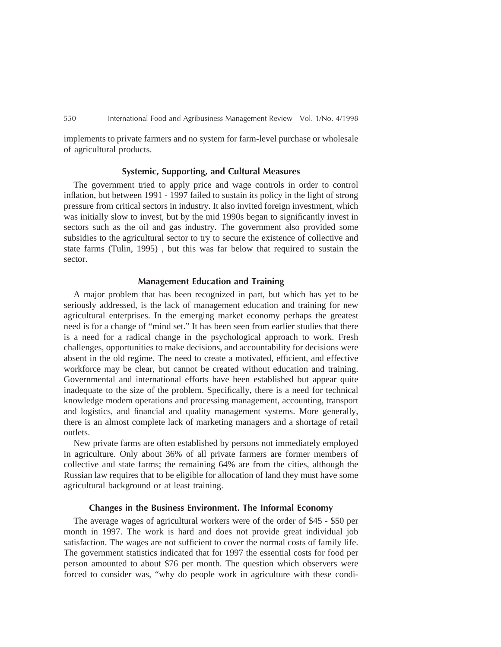implements to private farmers and no system for farm-level purchase or wholesale of agricultural products.

#### **Systemic, Supporting, and Cultural Measures**

The government tried to apply price and wage controls in order to control inflation, but between 1991 - 1997 failed to sustain its policy in the light of strong pressure from critical sectors in industry. It also invited foreign investment, which was initially slow to invest, but by the mid 1990s began to significantly invest in sectors such as the oil and gas industry. The government also provided some subsidies to the agricultural sector to try to secure the existence of collective and state farms (Tulin, 1995) , but this was far below that required to sustain the sector.

#### **Management Education and Training**

A major problem that has been recognized in part, but which has yet to be seriously addressed, is the lack of management education and training for new agricultural enterprises. In the emerging market economy perhaps the greatest need is for a change of "mind set." It has been seen from earlier studies that there is a need for a radical change in the psychological approach to work. Fresh challenges, opportunities to make decisions, and accountability for decisions were absent in the old regime. The need to create a motivated, efficient, and effective workforce may be clear, but cannot be created without education and training. Governmental and international efforts have been established but appear quite inadequate to the size of the problem. Specifically, there is a need for technical knowledge modem operations and processing management, accounting, transport and logistics, and financial and quality management systems. More generally, there is an almost complete lack of marketing managers and a shortage of retail outlets.

New private farms are often established by persons not immediately employed in agriculture. Only about 36% of all private farmers are former members of collective and state farms; the remaining 64% are from the cities, although the Russian law requires that to be eligible for allocation of land they must have some agricultural background or at least training.

#### **Changes in the Business Environment. The Informal Economy**

The average wages of agricultural workers were of the order of \$45 - \$50 per month in 1997. The work is hard and does not provide great individual job satisfaction. The wages are not sufficient to cover the normal costs of family life. The government statistics indicated that for 1997 the essential costs for food per person amounted to about \$76 per month. The question which observers were forced to consider was, "why do people work in agriculture with these condi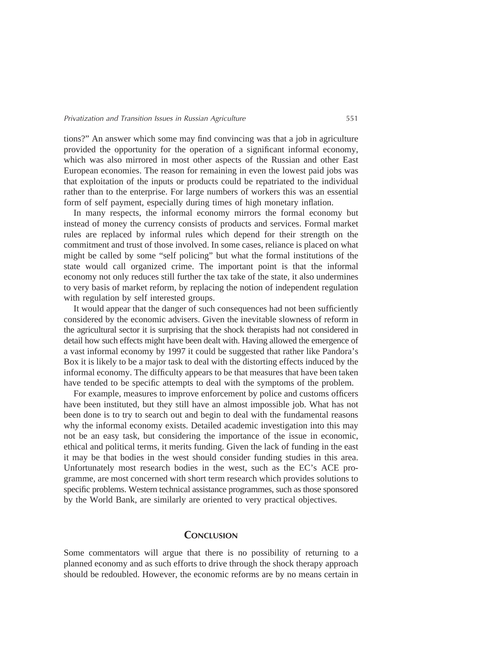tions?" An answer which some may find convincing was that a job in agriculture provided the opportunity for the operation of a significant informal economy, which was also mirrored in most other aspects of the Russian and other East European economies. The reason for remaining in even the lowest paid jobs was that exploitation of the inputs or products could be repatriated to the individual rather than to the enterprise. For large numbers of workers this was an essential form of self payment, especially during times of high monetary inflation.

In many respects, the informal economy mirrors the formal economy but instead of money the currency consists of products and services. Formal market rules are replaced by informal rules which depend for their strength on the commitment and trust of those involved. In some cases, reliance is placed on what might be called by some "self policing" but what the formal institutions of the state would call organized crime. The important point is that the informal economy not only reduces still further the tax take of the state, it also undermines to very basis of market reform, by replacing the notion of independent regulation with regulation by self interested groups.

It would appear that the danger of such consequences had not been sufficiently considered by the economic advisers. Given the inevitable slowness of reform in the agricultural sector it is surprising that the shock therapists had not considered in detail how such effects might have been dealt with. Having allowed the emergence of a vast informal economy by 1997 it could be suggested that rather like Pandora's Box it is likely to be a major task to deal with the distorting effects induced by the informal economy. The difficulty appears to be that measures that have been taken have tended to be specific attempts to deal with the symptoms of the problem.

For example, measures to improve enforcement by police and customs officers have been instituted, but they still have an almost impossible job. What has not been done is to try to search out and begin to deal with the fundamental reasons why the informal economy exists. Detailed academic investigation into this may not be an easy task, but considering the importance of the issue in economic, ethical and political terms, it merits funding. Given the lack of funding in the east it may be that bodies in the west should consider funding studies in this area. Unfortunately most research bodies in the west, such as the EC's ACE programme, are most concerned with short term research which provides solutions to specific problems. Western technical assistance programmes, such as those sponsored by the World Bank, are similarly are oriented to very practical objectives.

## **CONCLUSION**

Some commentators will argue that there is no possibility of returning to a planned economy and as such efforts to drive through the shock therapy approach should be redoubled. However, the economic reforms are by no means certain in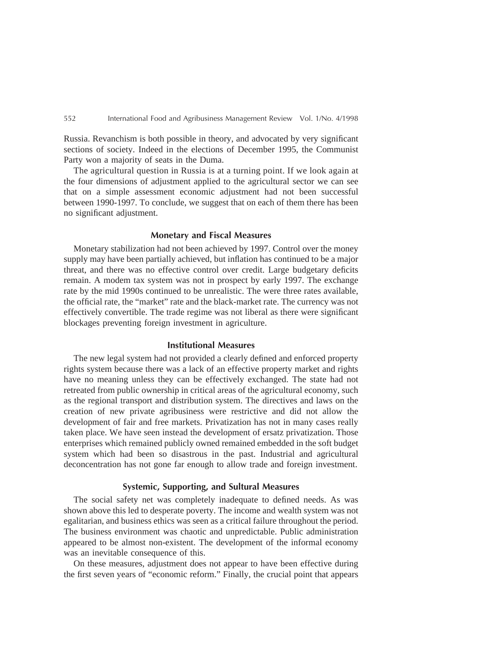Russia. Revanchism is both possible in theory, and advocated by very significant sections of society. Indeed in the elections of December 1995, the Communist Party won a majority of seats in the Duma.

The agricultural question in Russia is at a turning point. If we look again at the four dimensions of adjustment applied to the agricultural sector we can see that on a simple assessment economic adjustment had not been successful between 1990-1997. To conclude, we suggest that on each of them there has been no significant adjustment.

#### **Monetary and Fiscal Measures**

Monetary stabilization had not been achieved by 1997. Control over the money supply may have been partially achieved, but inflation has continued to be a major threat, and there was no effective control over credit. Large budgetary deficits remain. A modem tax system was not in prospect by early 1997. The exchange rate by the mid 1990s continued to be unrealistic. The were three rates available, the official rate, the "market" rate and the black-market rate. The currency was not effectively convertible. The trade regime was not liberal as there were significant blockages preventing foreign investment in agriculture.

### **Institutional Measures**

The new legal system had not provided a clearly defined and enforced property rights system because there was a lack of an effective property market and rights have no meaning unless they can be effectively exchanged. The state had not retreated from public ownership in critical areas of the agricultural economy, such as the regional transport and distribution system. The directives and laws on the creation of new private agribusiness were restrictive and did not allow the development of fair and free markets. Privatization has not in many cases really taken place. We have seen instead the development of ersatz privatization. Those enterprises which remained publicly owned remained embedded in the soft budget system which had been so disastrous in the past. Industrial and agricultural deconcentration has not gone far enough to allow trade and foreign investment.

## **Systemic, Supporting, and Sultural Measures**

The social safety net was completely inadequate to defined needs. As was shown above this led to desperate poverty. The income and wealth system was not egalitarian, and business ethics was seen as a critical failure throughout the period. The business environment was chaotic and unpredictable. Public administration appeared to be almost non-existent. The development of the informal economy was an inevitable consequence of this.

On these measures, adjustment does not appear to have been effective during the first seven years of "economic reform." Finally, the crucial point that appears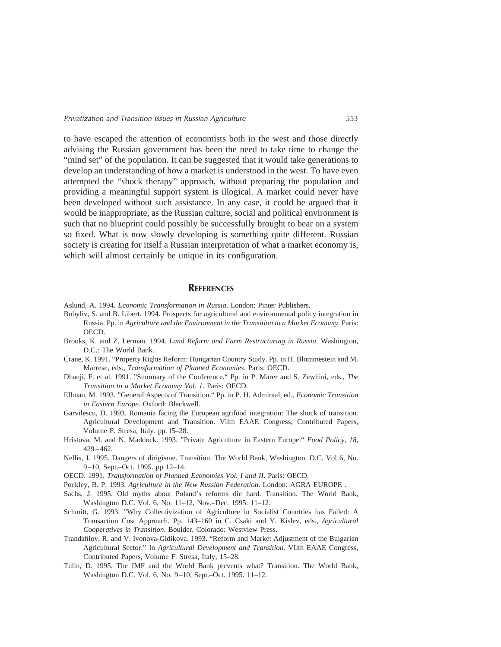to have escaped the attention of economists both in the west and those directly advising the Russian government has been the need to take time to change the "mind set" of the population. It can be suggested that it would take generations to develop an understanding of how a market is understood in the west. To have even attempted the "shock therapy" approach, without preparing the population and providing a meaningful support system is illogical. A market could never have been developed without such assistance. In any case, it could be argued that it would be inappropriate, as the Russian culture, social and political environment is such that no blueprint could possibly be successfully brought to bear on a system so fixed. What is now slowly developing is something quite different. Russian society is creating for itself a Russian interpretation of what a market economy is, which will almost certainly be unique in its configuration.

## **REFERENCES**

- Aslund, A. 1994. *Economic Transformation in Russia*. London: Pinter Publishers.
- Bobyliv, S. and B. Libert. 1994. Prospects for agricultural and environmental policy integration in Russia. Pp. in *Agriculture and the Environment in the Transition to a Market Economy*. Paris: OECD.
- Brooks, K. and Z. Lerman. 1994. *Land Reform and Farm Restructuring in Russia*. Washington, D.C.: The World Bank.
- Crane, K. 1991. "Property Rights Reform: Hungarian Country Study. Pp. in H. Blommestein and M. Marrese, eds., *Transformation of Planned Economies*. Paris: OECD.
- Dhanji, F. et al. 1991. "Summary of the Conference." Pp. in P. Marer and S. Zewhini, eds., *The Transition to a Market Economy Vol. 1*. Paris: OECD.
- Ellman, M. 1993. "General Aspects of Transition." Pp. in P. H. Admiraal, ed., *Economic Transition in Eastern Europe*. Oxford: Blackwell.
- Garvilescu, D. 1993. Romania facing the European agrifood integration: The shock of transition. Agricultural Development and Transition. Vilth EAAE Congress, Contributed Papers, Volume F. Stresa, Italy. pp. l5–28.
- Hristova, M. and N. Maddock. 1993. "Private Agriculture in Eastern Europe." *Food Policy, 18*, 429–462.
- Nellis, J. 1995. Dangers of dirigisme. Transition. The World Bank, Washington. D.C. Vol 6, No. 9–10, Sept.–Oct. 1995. pp 12–14.
- OECD. 1991. *Transformation of Planned Economies Vol. I and II*. Paris: OECD.
- Pockley, B. P. 1993. *Agriculture in the New Russian Federation*. London: AGRA EUROPE .
- Sachs, J. 1995. Old myths about Poland's reforms die hard. Transition. The World Bank, Washington D.C. Vol. 6, No. 11–12, Nov.–Dec. 1995. 11–12.
- Schmitt, G. 1993. "Why Collectivization of Agriculture in Socialist Countries has Failed: A Transaction Cost Approach. Pp. 143–160 in C. Csaki and Y. Kislev, eds., *Agricultural Cooperatives in Transition*. Boulder, Colorado: Westview Press.
- Trandafilov, R. and V. Ivonova-Gidikova. 1993. "Reform and Market Adjustment of the Bulgarian Agricultural Sector." In *Agricultural Development and Transition*. VIlth EAAE Congress, Contributed Papers, Volume F. Stresa, Italy, 15–28.
- Tulin, D. 1995. The IMF and the World Bank prevents what? Transition. The World Bank, Washington D.C. Vol. 6, No. 9–10, Sept.–Oct. 1995. 11–12.